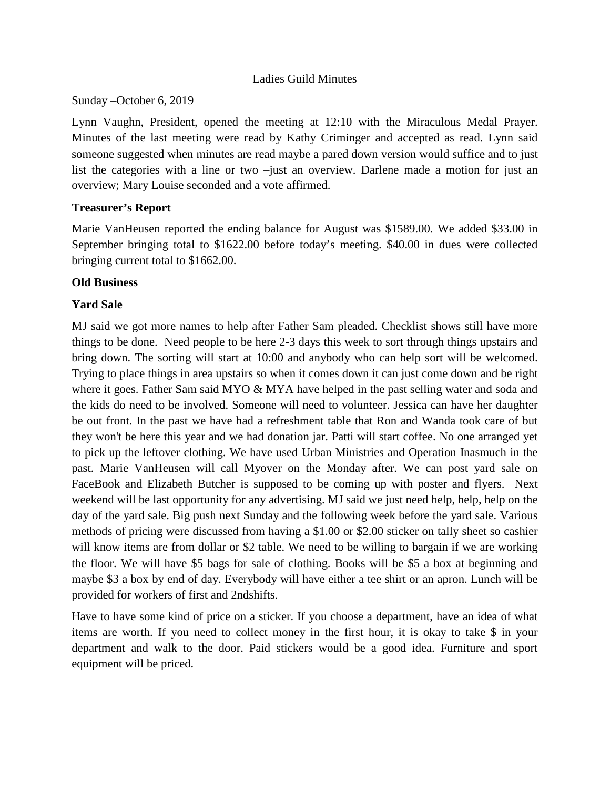#### Ladies Guild Minutes

Sunday –October 6, 2019

Lynn Vaughn, President, opened the meeting at 12:10 with the Miraculous Medal Prayer. Minutes of the last meeting were read by Kathy Criminger and accepted as read. Lynn said someone suggested when minutes are read maybe a pared down version would suffice and to just list the categories with a line or two –just an overview. Darlene made a motion for just an overview; Mary Louise seconded and a vote affirmed.

## **Treasurer's Report**

Marie VanHeusen reported the ending balance for August was \$1589.00. We added \$33.00 in September bringing total to \$1622.00 before today's meeting. \$40.00 in dues were collected bringing current total to \$1662.00.

## **Old Business**

# **Yard Sale**

MJ said we got more names to help after Father Sam pleaded. Checklist shows still have more things to be done. Need people to be here 2-3 days this week to sort through things upstairs and bring down. The sorting will start at 10:00 and anybody who can help sort will be welcomed. Trying to place things in area upstairs so when it comes down it can just come down and be right where it goes. Father Sam said MYO & MYA have helped in the past selling water and soda and the kids do need to be involved. Someone will need to volunteer. Jessica can have her daughter be out front. In the past we have had a refreshment table that Ron and Wanda took care of but they won't be here this year and we had donation jar. Patti will start coffee. No one arranged yet to pick up the leftover clothing. We have used Urban Ministries and Operation Inasmuch in the past. Marie VanHeusen will call Myover on the Monday after. We can post yard sale on FaceBook and Elizabeth Butcher is supposed to be coming up with poster and flyers. Next weekend will be last opportunity for any advertising. MJ said we just need help, help, help on the day of the yard sale. Big push next Sunday and the following week before the yard sale. Various methods of pricing were discussed from having a \$1.00 or \$2.00 sticker on tally sheet so cashier will know items are from dollar or \$2 table. We need to be willing to bargain if we are working the floor. We will have \$5 bags for sale of clothing. Books will be \$5 a box at beginning and maybe \$3 a box by end of day. Everybody will have either a tee shirt or an apron. Lunch will be provided for workers of first and 2ndshifts.

Have to have some kind of price on a sticker. If you choose a department, have an idea of what items are worth. If you need to collect money in the first hour, it is okay to take \$ in your department and walk to the door. Paid stickers would be a good idea. Furniture and sport equipment will be priced.